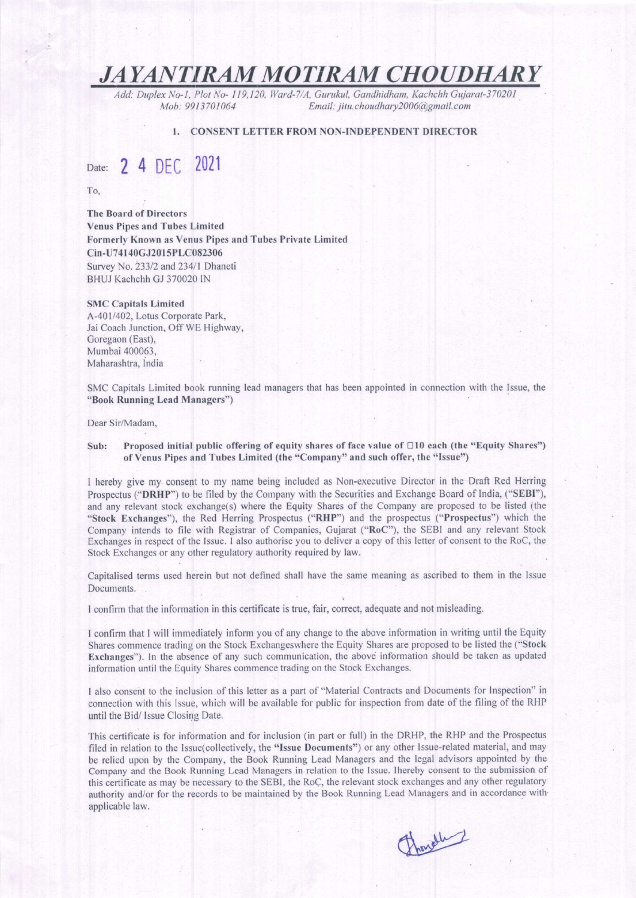## JAYANTIRAM MOTIRAM CHOUDHARY

Add: Duplex No- l , Plot No- I 19,120, ll/ard-7/A, Gurukul, Gondhidham, Kachchh Gujarar-370201 Email: jitu.choudhary2006@gmail.com

#### I. CONSENT LETTER FROM NON.INDEPENDENT DIRECTOR

# Date: 2 4 DEC 2021

To,

The Board of Directors Venus Pipes and Tubes Limited Formerly Known as Venus Pipes and Tubes Private Limited Cin-U741 40CJ20l 5PLC082306 Survey No. 233/2 and 234/1 Dhaneti BHUJ Kachchh GJ 370020 IN

#### SMC Capitals Limited

A.-4Ol/402, Lotus Corporate Park, Jai Coach Junction, Off WE Highway, Goregaon (East), Mumbai 400063, Maharashtra, India

SMC Capitals Limited book running lead managers that has been appointed in connection with the Issue, the "Book Running Lead Managers")

#### Dear Sir/Madam,

#### Sub: Proposed initial public offering of equity shares of face value of  $\Box$ 10 each (the "Equity Shares") of Venus Pipes and Tubes Limited (the "Company" and such offer, the "lssue")

I hereby give my consent to my name being included as Non-executive Director in the Draft Red Herring Prospectus ("DRHP") to be filed by the Company with the Securities and Exchange Board of India, ("SEBI"), and any relevant stock exchange(s) where the Equity Shares of the Company are proposed to be listed (the "Stock Exchanges"), the Red Herring Prospectus ("RHP") and the prospectus ("Prospectus") which the Company intends to file with Registrar of Companies, Gujarat ("RoC"), the SEBI and any relevant Stock Exchanges in respect of the Issue. I also authorise you to deliver a copy of this letter of consent to the RoC, the Stock Exchanges or any other regulatory authority required by law.

Capitalised terms used herein but not defined shall have the same meaning as ascribed to them in the Issue Documents.

I confirm that the information in this certificate is true, fair, correct, adequate and not misleading.

I confirm that I will immediately inform you of any change to the above information in writing until the Equity Shares commence trading on the Stock Exchangeswhere the Equity Shares are proposed to be listed the ("Stock") Exchanges"). In the absence of any such communication, the above information should be taken as updated information until the Equity Shares commence trading on the Stock Exchanges.

I also consent to the inclusion of this letter as a part of "Material Contracts and Documents for Inspection" in connection with this lssue, which will be available for public for inspection from date ofthe filing ofthe RHP until the Bid/ lssue Closing Date.

This certificate is for information and for inclusion (in part or full) in the DRHP, the RHP and the Prospectus filed in relation to the Issue(collectively, the "lssue Documents") or any other Issue-related material, and may be relied upon by the Company, the Book Running Lead Managers and the legal advisors appointed by the Company and the Book Running Lead Managers in relation to the Issue. Ihereby consent to the submission of this certificate as may be necessary to the SEBI, the RoC, the relevart stock exchanges and any other regulatory authority and/or for the records to be maintained by the Book Running Lead Managers and in accordance with applicable law.

Franch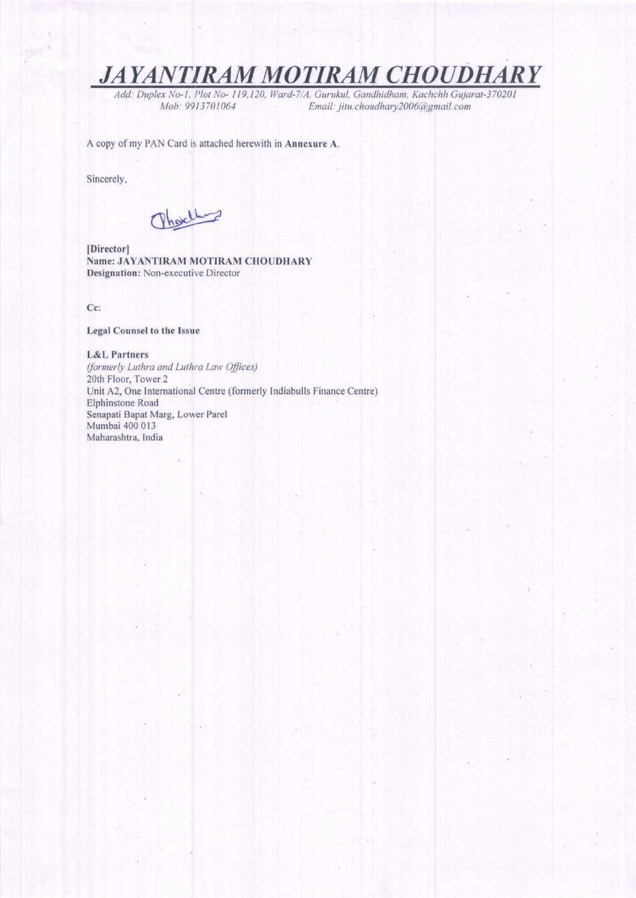**JAYANTIRAM MOTIRAM CHOUDHA**  $\boldsymbol{R} \boldsymbol{Y}$ 

Add: Duplex No-1, Plot No- 119,120, Ward-7/A, Gurukul, Gandhidham, Kachchh Gujarat-370201 Email: jitu.choudhary2006@gmail.com Mob: 9913701064

A copy of my PAN Card is attached herewith in Annexure A.

Sincerely,

Ohoelling

[Director] Name: JAYANTIRAM MOTIRAM CHOUDHARY Designation: Non-executive Director

Cc:

## **Legal Counsel to the Issue**

### **L&L Partners**

(formerly Luthra and Luthra Law Offices) 20th Floor, Tower 2 Unit A2, One International Centre (formerly Indiabulls Finance Centre) Elphinstone Road Senapati Bapat Marg, Lower Parel Mumbai 400 013 Maharashtra, India